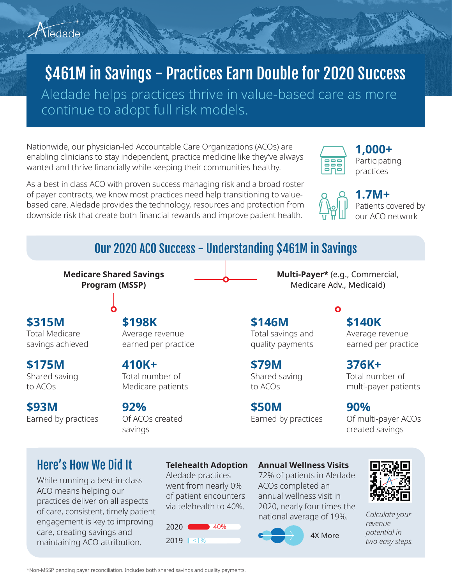# \$461M in Savings - Practices Earn Double for 2020 Success

Aledade helps practices thrive in value-based care as more continue to adopt full risk models.

Nationwide, our physician-led Accountable Care Organizations (ACOs) are enabling clinicians to stay independent, practice medicine like they've always wanted and thrive financially while keeping their communities healthy.

As a best in class ACO with proven success managing risk and a broad roster of payer contracts, we know most practices need help transitioning to valuebased care. Aledade provides the technology, resources and protection from downside risk that create both financial rewards and improve patient health.



**Multi-Payer\*** (e.g., Commercial, Medicare Adv., Medicaid)

**1,000+** Participating practices

#### **1.7M+** Patients covered by our ACO network

## Our 2020 ACO Success - Understanding \$461M in Savings

**Medicare Shared Savings Program (MSSP)**

### **\$315M**

Total Medicare savings achieved

**\$175M** Shared saving to ACOs

**\$93M** Earned by practices

### **\$198K**

Average revenue earned per practice

## **410K+** Total number of

Medicare patients

#### **92%**

Of ACOs created savings

**\$146M** Total savings and

quality payments

#### **\$79M** Shared saving to ACOs

**\$50M** Earned by practices **\$140K** Average revenue earned per practice

**376K+** Total number of multi-payer patients

**90%** Of multi-payer ACOs created savings

## Here's How We Did It

While running a best-in-class ACO means helping our practices deliver on all aspects of care, consistent, timely patient engagement is key to improving care, creating savings and maintaining ACO attribution.

## **Telehealth Adoption**

Aledade practices went from nearly 0% of patient encounters via telehealth to 40%.



#### **Annual Wellness Visits**

72% of patients in Aledade ACOs completed an annual wellness visit in 2020, nearly four times the national average of 19%. *Calculate your* 





*revenue potential in*  two easy steps.

\*Non-MSSP pending payer reconciliation. Includes both shared savings and quality payments.